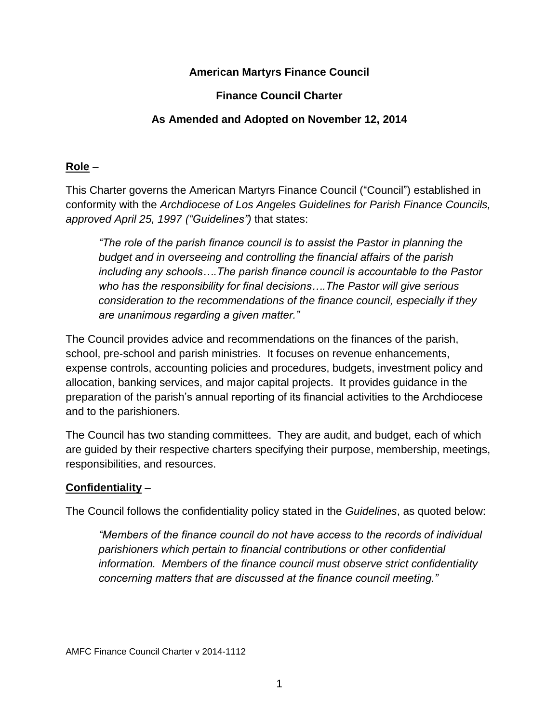# **American Martyrs Finance Council**

### **Finance Council Charter**

### **As Amended and Adopted on November 12, 2014**

### **Role** –

This Charter governs the American Martyrs Finance Council ("Council") established in conformity with the *Archdiocese of Los Angeles Guidelines for Parish Finance Councils, approved April 25, 1997 ("Guidelines")* that states:

*"The role of the parish finance council is to assist the Pastor in planning the budget and in overseeing and controlling the financial affairs of the parish including any schools….The parish finance council is accountable to the Pastor who has the responsibility for final decisions….The Pastor will give serious consideration to the recommendations of the finance council, especially if they are unanimous regarding a given matter."*

The Council provides advice and recommendations on the finances of the parish, school, pre-school and parish ministries. It focuses on revenue enhancements, expense controls, accounting policies and procedures, budgets, investment policy and allocation, banking services, and major capital projects. It provides guidance in the preparation of the parish's annual reporting of its financial activities to the Archdiocese and to the parishioners.

The Council has two standing committees. They are audit, and budget, each of which are guided by their respective charters specifying their purpose, membership, meetings, responsibilities, and resources.

#### **Confidentiality** –

The Council follows the confidentiality policy stated in the *Guidelines*, as quoted below:

*"Members of the finance council do not have access to the records of individual parishioners which pertain to financial contributions or other confidential information. Members of the finance council must observe strict confidentiality concerning matters that are discussed at the finance council meeting."*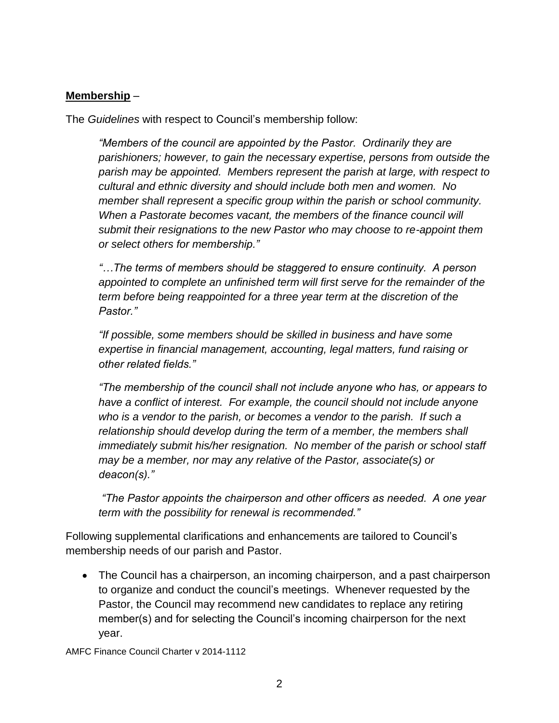# **Membership** –

The *Guidelines* with respect to Council's membership follow:

*"Members of the council are appointed by the Pastor. Ordinarily they are parishioners; however, to gain the necessary expertise, persons from outside the parish may be appointed. Members represent the parish at large, with respect to cultural and ethnic diversity and should include both men and women. No member shall represent a specific group within the parish or school community. When a Pastorate becomes vacant, the members of the finance council will submit their resignations to the new Pastor who may choose to re-appoint them or select others for membership."*

*"…The terms of members should be staggered to ensure continuity. A person appointed to complete an unfinished term will first serve for the remainder of the term before being reappointed for a three year term at the discretion of the Pastor."*

*"If possible, some members should be skilled in business and have some expertise in financial management, accounting, legal matters, fund raising or other related fields."*

*"The membership of the council shall not include anyone who has, or appears to have a conflict of interest. For example, the council should not include anyone*  who is a vendor to the parish, or becomes a vendor to the parish. If such a *relationship should develop during the term of a member, the members shall immediately submit his/her resignation. No member of the parish or school staff may be a member, nor may any relative of the Pastor, associate(s) or deacon(s)."*

*"The Pastor appoints the chairperson and other officers as needed. A one year term with the possibility for renewal is recommended."*

Following supplemental clarifications and enhancements are tailored to Council's membership needs of our parish and Pastor.

 The Council has a chairperson, an incoming chairperson, and a past chairperson to organize and conduct the council's meetings. Whenever requested by the Pastor, the Council may recommend new candidates to replace any retiring member(s) and for selecting the Council's incoming chairperson for the next year.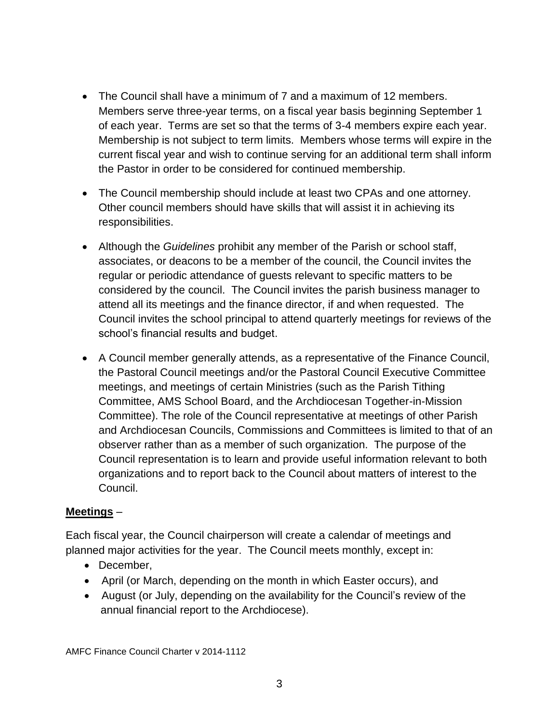- The Council shall have a minimum of 7 and a maximum of 12 members. Members serve three-year terms, on a fiscal year basis beginning September 1 of each year. Terms are set so that the terms of 3-4 members expire each year. Membership is not subject to term limits. Members whose terms will expire in the current fiscal year and wish to continue serving for an additional term shall inform the Pastor in order to be considered for continued membership.
- The Council membership should include at least two CPAs and one attorney. Other council members should have skills that will assist it in achieving its responsibilities.
- Although the *Guidelines* prohibit any member of the Parish or school staff, associates, or deacons to be a member of the council, the Council invites the regular or periodic attendance of guests relevant to specific matters to be considered by the council. The Council invites the parish business manager to attend all its meetings and the finance director, if and when requested. The Council invites the school principal to attend quarterly meetings for reviews of the school's financial results and budget.
- A Council member generally attends, as a representative of the Finance Council, the Pastoral Council meetings and/or the Pastoral Council Executive Committee meetings, and meetings of certain Ministries (such as the Parish Tithing Committee, AMS School Board, and the Archdiocesan Together-in-Mission Committee). The role of the Council representative at meetings of other Parish and Archdiocesan Councils, Commissions and Committees is limited to that of an observer rather than as a member of such organization. The purpose of the Council representation is to learn and provide useful information relevant to both organizations and to report back to the Council about matters of interest to the Council.

# **Meetings** –

Each fiscal year, the Council chairperson will create a calendar of meetings and planned major activities for the year. The Council meets monthly, except in:

- December,
- April (or March, depending on the month in which Easter occurs), and
- August (or July, depending on the availability for the Council's review of the annual financial report to the Archdiocese).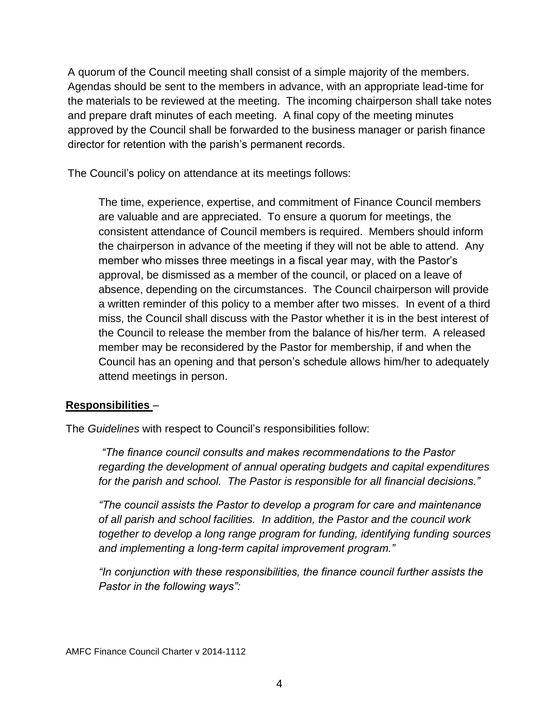A quorum of the Council meeting shall consist of a simple majority of the members. Agendas should be sent to the members in advance, with an appropriate lead-time for the materials to be reviewed at the meeting. The incoming chairperson shall take notes and prepare draft minutes of each meeting. A final copy of the meeting minutes approved by the Council shall be forwarded to the business manager or parish finance director for retention with the parish's permanent records.

The Council's policy on attendance at its meetings follows:

The time, experience, expertise, and commitment of Finance Council members are valuable and are appreciated. To ensure a quorum for meetings, the consistent attendance of Council members is required. Members should inform the chairperson in advance of the meeting if they will not be able to attend. Any member who misses three meetings in a fiscal year may, with the Pastor's approval, be dismissed as a member of the council, or placed on a leave of absence, depending on the circumstances. The Council chairperson will provide a written reminder of this policy to a member after two misses. In event of a third miss, the Council shall discuss with the Pastor whether it is in the best interest of the Council to release the member from the balance of his/her term. A released member may be reconsidered by the Pastor for membership, if and when the Council has an opening and that person's schedule allows him/her to adequately attend meetings in person.

# **Responsibilities** –

The *Guidelines* with respect to Council's responsibilities follow:

*"The finance council consults and makes recommendations to the Pastor regarding the development of annual operating budgets and capital expenditures for the parish and school. The Pastor is responsible for all financial decisions."*

*"The council assists the Pastor to develop a program for care and maintenance of all parish and school facilities. In addition, the Pastor and the council work together to develop a long range program for funding, identifying funding sources and implementing a long-term capital improvement program."*

*"In conjunction with these responsibilities, the finance council further assists the Pastor in the following ways":*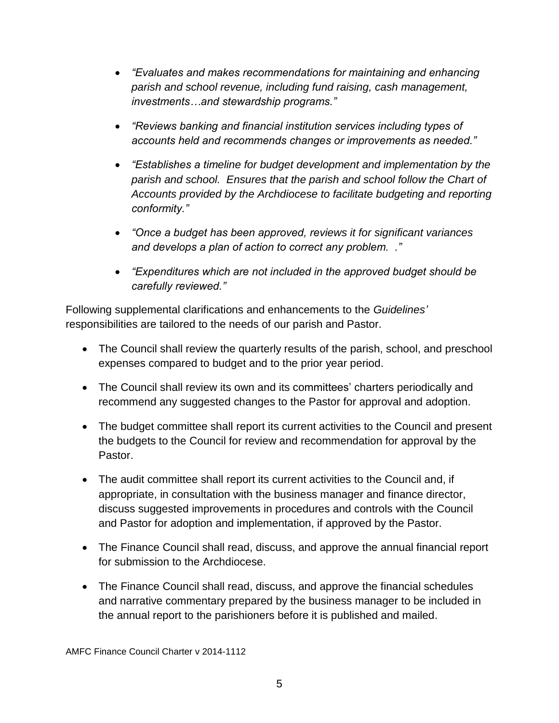- *"Evaluates and makes recommendations for maintaining and enhancing parish and school revenue, including fund raising, cash management, investments…and stewardship programs."*
- *"Reviews banking and financial institution services including types of accounts held and recommends changes or improvements as needed."*
- *"Establishes a timeline for budget development and implementation by the parish and school. Ensures that the parish and school follow the Chart of Accounts provided by the Archdiocese to facilitate budgeting and reporting conformity."*
- *"Once a budget has been approved, reviews it for significant variances and develops a plan of action to correct any problem. ."*
- *"Expenditures which are not included in the approved budget should be carefully reviewed."*

Following supplemental clarifications and enhancements to the *Guidelines'* responsibilities are tailored to the needs of our parish and Pastor.

- The Council shall review the quarterly results of the parish, school, and preschool expenses compared to budget and to the prior year period.
- The Council shall review its own and its committees' charters periodically and recommend any suggested changes to the Pastor for approval and adoption.
- The budget committee shall report its current activities to the Council and present the budgets to the Council for review and recommendation for approval by the Pastor.
- The audit committee shall report its current activities to the Council and, if appropriate, in consultation with the business manager and finance director, discuss suggested improvements in procedures and controls with the Council and Pastor for adoption and implementation, if approved by the Pastor.
- The Finance Council shall read, discuss, and approve the annual financial report for submission to the Archdiocese.
- The Finance Council shall read, discuss, and approve the financial schedules and narrative commentary prepared by the business manager to be included in the annual report to the parishioners before it is published and mailed.